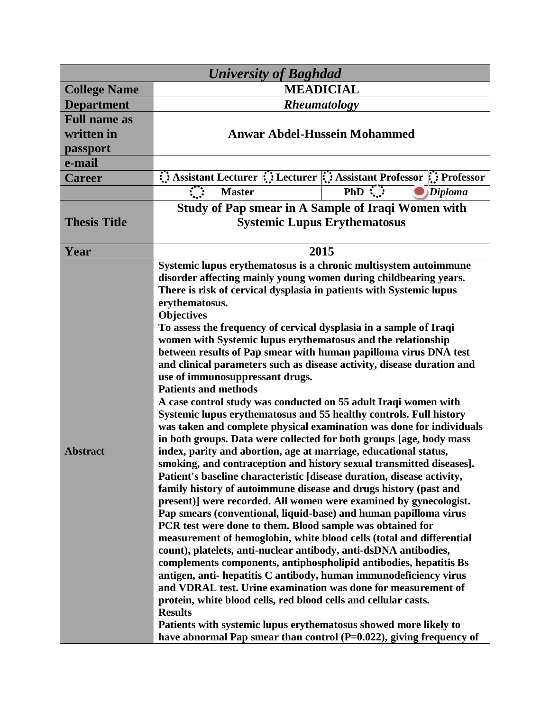| <b>University of Baghdad</b> |                                                                                                                                                                                                                                                                                                                                                                                                                                                                                                                                                                                                                                                                                                                                                                                                                                                                                                                                                                                                                                                                                                                                                                                                                                                                                                                                                                                                                                                                                                                                                                                                                                                                                                                                                                                                                                                                                                                 |                                                                    |
|------------------------------|-----------------------------------------------------------------------------------------------------------------------------------------------------------------------------------------------------------------------------------------------------------------------------------------------------------------------------------------------------------------------------------------------------------------------------------------------------------------------------------------------------------------------------------------------------------------------------------------------------------------------------------------------------------------------------------------------------------------------------------------------------------------------------------------------------------------------------------------------------------------------------------------------------------------------------------------------------------------------------------------------------------------------------------------------------------------------------------------------------------------------------------------------------------------------------------------------------------------------------------------------------------------------------------------------------------------------------------------------------------------------------------------------------------------------------------------------------------------------------------------------------------------------------------------------------------------------------------------------------------------------------------------------------------------------------------------------------------------------------------------------------------------------------------------------------------------------------------------------------------------------------------------------------------------|--------------------------------------------------------------------|
| <b>College Name</b>          | <b>MEADICIAL</b>                                                                                                                                                                                                                                                                                                                                                                                                                                                                                                                                                                                                                                                                                                                                                                                                                                                                                                                                                                                                                                                                                                                                                                                                                                                                                                                                                                                                                                                                                                                                                                                                                                                                                                                                                                                                                                                                                                |                                                                    |
| <b>Department</b>            | <b>Rheumatology</b>                                                                                                                                                                                                                                                                                                                                                                                                                                                                                                                                                                                                                                                                                                                                                                                                                                                                                                                                                                                                                                                                                                                                                                                                                                                                                                                                                                                                                                                                                                                                                                                                                                                                                                                                                                                                                                                                                             |                                                                    |
| <b>Full name as</b>          |                                                                                                                                                                                                                                                                                                                                                                                                                                                                                                                                                                                                                                                                                                                                                                                                                                                                                                                                                                                                                                                                                                                                                                                                                                                                                                                                                                                                                                                                                                                                                                                                                                                                                                                                                                                                                                                                                                                 |                                                                    |
| written in                   | <b>Anwar Abdel-Hussein Mohammed</b>                                                                                                                                                                                                                                                                                                                                                                                                                                                                                                                                                                                                                                                                                                                                                                                                                                                                                                                                                                                                                                                                                                                                                                                                                                                                                                                                                                                                                                                                                                                                                                                                                                                                                                                                                                                                                                                                             |                                                                    |
| passport                     |                                                                                                                                                                                                                                                                                                                                                                                                                                                                                                                                                                                                                                                                                                                                                                                                                                                                                                                                                                                                                                                                                                                                                                                                                                                                                                                                                                                                                                                                                                                                                                                                                                                                                                                                                                                                                                                                                                                 |                                                                    |
| e-mail                       |                                                                                                                                                                                                                                                                                                                                                                                                                                                                                                                                                                                                                                                                                                                                                                                                                                                                                                                                                                                                                                                                                                                                                                                                                                                                                                                                                                                                                                                                                                                                                                                                                                                                                                                                                                                                                                                                                                                 |                                                                    |
| <b>Career</b>                |                                                                                                                                                                                                                                                                                                                                                                                                                                                                                                                                                                                                                                                                                                                                                                                                                                                                                                                                                                                                                                                                                                                                                                                                                                                                                                                                                                                                                                                                                                                                                                                                                                                                                                                                                                                                                                                                                                                 | Assistant Lecturer :: Lecturer :: Assistant Professor :: Professor |
|                              | <b>Master</b>                                                                                                                                                                                                                                                                                                                                                                                                                                                                                                                                                                                                                                                                                                                                                                                                                                                                                                                                                                                                                                                                                                                                                                                                                                                                                                                                                                                                                                                                                                                                                                                                                                                                                                                                                                                                                                                                                                   | $PhD$ :<br>Diploma                                                 |
|                              | <b>Study of Pap smear in A Sample of Iraqi Women with</b>                                                                                                                                                                                                                                                                                                                                                                                                                                                                                                                                                                                                                                                                                                                                                                                                                                                                                                                                                                                                                                                                                                                                                                                                                                                                                                                                                                                                                                                                                                                                                                                                                                                                                                                                                                                                                                                       |                                                                    |
| <b>Thesis Title</b>          | <b>Systemic Lupus Erythematosus</b>                                                                                                                                                                                                                                                                                                                                                                                                                                                                                                                                                                                                                                                                                                                                                                                                                                                                                                                                                                                                                                                                                                                                                                                                                                                                                                                                                                                                                                                                                                                                                                                                                                                                                                                                                                                                                                                                             |                                                                    |
|                              |                                                                                                                                                                                                                                                                                                                                                                                                                                                                                                                                                                                                                                                                                                                                                                                                                                                                                                                                                                                                                                                                                                                                                                                                                                                                                                                                                                                                                                                                                                                                                                                                                                                                                                                                                                                                                                                                                                                 |                                                                    |
| Year                         | 2015                                                                                                                                                                                                                                                                                                                                                                                                                                                                                                                                                                                                                                                                                                                                                                                                                                                                                                                                                                                                                                                                                                                                                                                                                                                                                                                                                                                                                                                                                                                                                                                                                                                                                                                                                                                                                                                                                                            |                                                                    |
| <b>Abstract</b>              | Systemic lupus erythematosus is a chronic multisystem autoimmune<br>disorder affecting mainly young women during childbearing years.<br>There is risk of cervical dysplasia in patients with Systemic lupus<br>erythematosus.<br><b>Objectives</b><br>To assess the frequency of cervical dysplasia in a sample of Iraqi<br>women with Systemic lupus erythematosus and the relationship<br>between results of Pap smear with human papilloma virus DNA test<br>and clinical parameters such as disease activity, disease duration and<br>use of immunosuppressant drugs.<br><b>Patients and methods</b><br>A case control study was conducted on 55 adult Iraqi women with<br>Systemic lupus erythematosus and 55 healthy controls. Full history<br>was taken and complete physical examination was done for individuals<br>in both groups. Data were collected for both groups [age, body mass<br>index, parity and abortion, age at marriage, educational status,<br>smoking, and contraception and history sexual transmitted diseases].<br>Patient's baseline characteristic [disease duration, disease activity,<br>family history of autoimmune disease and drugs history (past and<br>present)] were recorded. All women were examined by gynecologist.<br>Pap smears (conventional, liquid-base) and human papilloma virus<br>PCR test were done to them. Blood sample was obtained for<br>measurement of hemoglobin, white blood cells (total and differential<br>count), platelets, anti-nuclear antibody, anti-dsDNA antibodies,<br>complements components, antiphospholipid antibodies, hepatitis Bs<br>antigen, anti-hepatitis C antibody, human immunodeficiency virus<br>and VDRAL test. Urine examination was done for measurement of<br>protein, white blood cells, red blood cells and cellular casts.<br><b>Results</b><br>Patients with systemic lupus erythematosus showed more likely to |                                                                    |